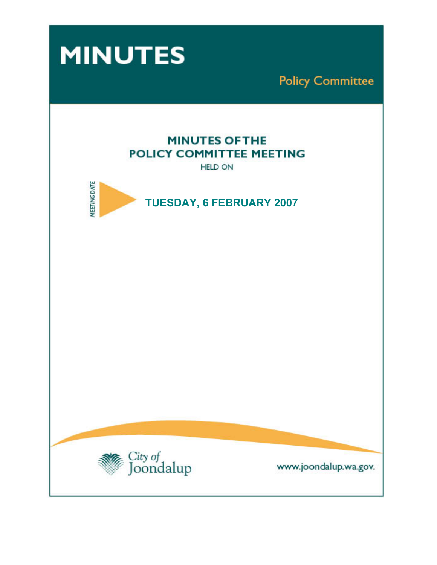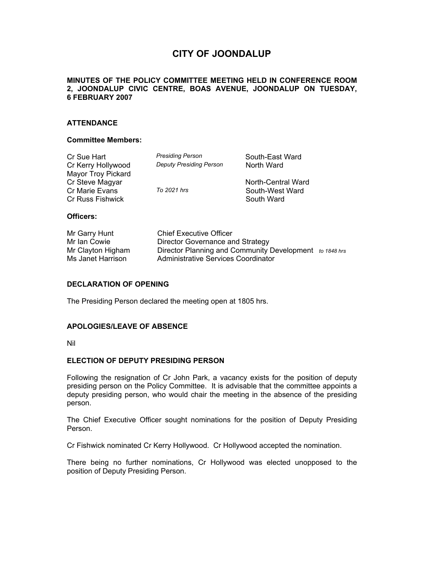# **CITY OF JOONDALUP**

## **MINUTES OF THE POLICY COMMITTEE MEETING HELD IN CONFERENCE ROOM 2, JOONDALUP CIVIC CENTRE, BOAS AVENUE, JOONDALUP ON TUESDAY, 6 FEBRUARY 2007**

## **ATTENDANCE**

#### **Committee Members:**

| Cr Sue Hart        | <b>Presiding Person</b>        | South-East Ward    |
|--------------------|--------------------------------|--------------------|
| Cr Kerry Hollywood | <b>Deputy Presiding Person</b> | North Ward         |
| Mayor Troy Pickard |                                |                    |
| Cr Steve Magyar    |                                | North-Central Ward |
| Cr Marie Evans     | To 2021 hrs                    | South-West Ward    |
| Cr Russ Fishwick   |                                | South Ward         |
|                    |                                |                    |

## **Officers:**

| Mr Garry Hunt     | <b>Chief Executive Officer</b>                          |  |
|-------------------|---------------------------------------------------------|--|
| Mr Ian Cowie      | Director Governance and Strategy                        |  |
| Mr Clayton Higham | Director Planning and Community Development to 1848 hrs |  |
| Ms Janet Harrison | Administrative Services Coordinator                     |  |

### **DECLARATION OF OPENING**

The Presiding Person declared the meeting open at 1805 hrs.

#### **APOLOGIES/LEAVE OF ABSENCE**

Nil

#### **ELECTION OF DEPUTY PRESIDING PERSON**

Following the resignation of Cr John Park, a vacancy exists for the position of deputy presiding person on the Policy Committee. It is advisable that the committee appoints a deputy presiding person, who would chair the meeting in the absence of the presiding person.

The Chief Executive Officer sought nominations for the position of Deputy Presiding Person.

Cr Fishwick nominated Cr Kerry Hollywood. Cr Hollywood accepted the nomination.

There being no further nominations, Cr Hollywood was elected unopposed to the position of Deputy Presiding Person.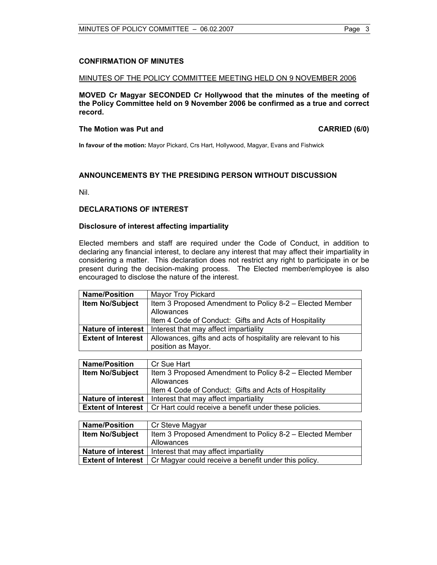#### MINUTES OF THE POLICY COMMITTEE MEETING HELD ON 9 NOVEMBER 2006

**MOVED Cr Magyar SECONDED Cr Hollywood that the minutes of the meeting of the Policy Committee held on 9 November 2006 be confirmed as a true and correct record.** 

#### The Motion was Put and **CARRIED** (6/0)

**In favour of the motion:** Mayor Pickard, Crs Hart, Hollywood, Magyar, Evans and Fishwick

# **ANNOUNCEMENTS BY THE PRESIDING PERSON WITHOUT DISCUSSION**

Nil.

#### **DECLARATIONS OF INTEREST**

## **Disclosure of interest affecting impartiality**

Elected members and staff are required under the Code of Conduct, in addition to declaring any financial interest, to declare any interest that may affect their impartiality in considering a matter. This declaration does not restrict any right to participate in or be present during the decision-making process. The Elected member/employee is also encouraged to disclose the nature of the interest.

| <b>Name/Position</b>      | Mayor Troy Pickard                                            |  |
|---------------------------|---------------------------------------------------------------|--|
| <b>Item No/Subject</b>    | Item 3 Proposed Amendment to Policy 8-2 – Elected Member      |  |
|                           | Allowances                                                    |  |
|                           | Item 4 Code of Conduct: Gifts and Acts of Hospitality         |  |
| Nature of interest        | Interest that may affect impartiality                         |  |
| <b>Extent of Interest</b> | Allowances, gifts and acts of hospitality are relevant to his |  |
|                           | position as Mayor.                                            |  |

| <b>Name/Position</b>   | Cr Sue Hart                                                                       |
|------------------------|-----------------------------------------------------------------------------------|
| <b>Item No/Subject</b> | Item 3 Proposed Amendment to Policy 8-2 – Elected Member                          |
|                        | Allowances                                                                        |
|                        | Item 4 Code of Conduct: Gifts and Acts of Hospitality                             |
|                        | <b>Nature of interest</b>   Interest that may affect impartiality                 |
|                        | <b>Extent of Interest</b>   Cr Hart could receive a benefit under these policies. |

| <b>Name/Position</b>   | Cr Steve Magyar                                                                  |
|------------------------|----------------------------------------------------------------------------------|
| <b>Item No/Subject</b> | Item 3 Proposed Amendment to Policy 8-2 – Elected Member                         |
|                        | Allowances                                                                       |
|                        | <b>Nature of interest</b>   Interest that may affect impartiality                |
|                        | <b>Extent of Interest</b>   Cr Magyar could receive a benefit under this policy. |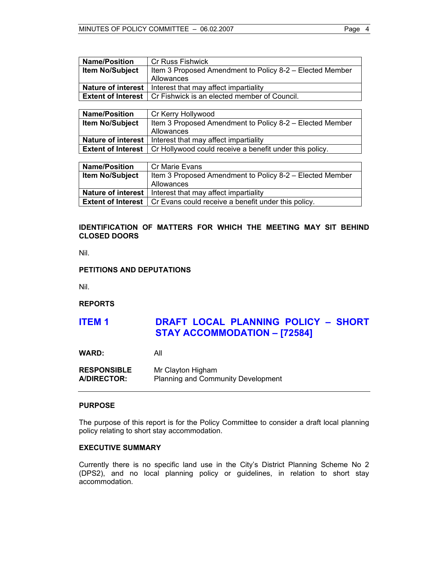| <b>Name/Position</b>      | <b>Cr Russ Fishwick</b>                                  |  |
|---------------------------|----------------------------------------------------------|--|
| <b>Item No/Subject</b>    | Item 3 Proposed Amendment to Policy 8-2 – Elected Member |  |
|                           | Allowances                                               |  |
| <b>Nature of interest</b> | Interest that may affect impartiality                    |  |
| <b>Extent of Interest</b> | Cr Fishwick is an elected member of Council.             |  |
|                           |                                                          |  |
| <b>Name/Position</b>      | Cr Kerry Hollywood                                       |  |
| <b>Item No/Subject</b>    | Item 3 Proposed Amendment to Policy 8-2 – Elected Member |  |
|                           | Allowances                                               |  |
| <b>Nature of interest</b> | Interest that may affect impartiality                    |  |
| <b>Extent of Interest</b> | Cr Hollywood could receive a benefit under this policy.  |  |
|                           |                                                          |  |

| <b>Name/Position</b>   | Cr Marie Evans                                                                  |
|------------------------|---------------------------------------------------------------------------------|
| <b>Item No/Subject</b> | Item 3 Proposed Amendment to Policy 8-2 – Elected Member                        |
|                        | Allowances                                                                      |
|                        | <b>Nature of interest</b>   Interest that may affect impartiality               |
|                        | <b>Extent of Interest</b>   Cr Evans could receive a benefit under this policy. |

# **IDENTIFICATION OF MATTERS FOR WHICH THE MEETING MAY SIT BEHIND CLOSED DOORS**

Nil.

#### **PETITIONS AND DEPUTATIONS**

Nil.

**REPORTS** 

# **ITEM 1 DRAFT LOCAL PLANNING POLICY – SHORT STAY ACCOMMODATION – [72584]**

**WARD:** All

**RESPONSIBLE** Mr Clayton Higham **A/DIRECTOR:** Planning and Community Development

#### **PURPOSE**

The purpose of this report is for the Policy Committee to consider a draft local planning policy relating to short stay accommodation.

# **EXECUTIVE SUMMARY**

Currently there is no specific land use in the City's District Planning Scheme No 2 (DPS2), and no local planning policy or guidelines, in relation to short stay accommodation.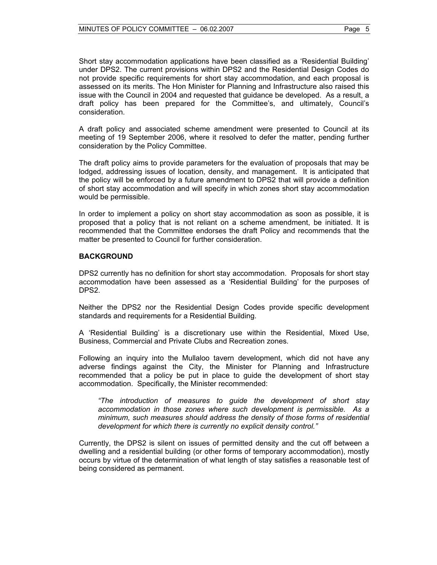A draft policy and associated scheme amendment were presented to Council at its meeting of 19 September 2006, where it resolved to defer the matter, pending further consideration by the Policy Committee.

The draft policy aims to provide parameters for the evaluation of proposals that may be lodged, addressing issues of location, density, and management. It is anticipated that the policy will be enforced by a future amendment to DPS2 that will provide a definition of short stay accommodation and will specify in which zones short stay accommodation would be permissible.

In order to implement a policy on short stay accommodation as soon as possible, it is proposed that a policy that is not reliant on a scheme amendment, be initiated. It is recommended that the Committee endorses the draft Policy and recommends that the matter be presented to Council for further consideration.

#### **BACKGROUND**

DPS2 currently has no definition for short stay accommodation. Proposals for short stay accommodation have been assessed as a 'Residential Building' for the purposes of DPS2.

Neither the DPS2 nor the Residential Design Codes provide specific development standards and requirements for a Residential Building.

A 'Residential Building' is a discretionary use within the Residential, Mixed Use, Business, Commercial and Private Clubs and Recreation zones.

Following an inquiry into the Mullaloo tavern development, which did not have any adverse findings against the City, the Minister for Planning and Infrastructure recommended that a policy be put in place to guide the development of short stay accommodation. Specifically, the Minister recommended:

*"The introduction of measures to guide the development of short stay accommodation in those zones where such development is permissible. As a minimum, such measures should address the density of those forms of residential development for which there is currently no explicit density control."* 

Currently, the DPS2 is silent on issues of permitted density and the cut off between a dwelling and a residential building (or other forms of temporary accommodation), mostly occurs by virtue of the determination of what length of stay satisfies a reasonable test of being considered as permanent.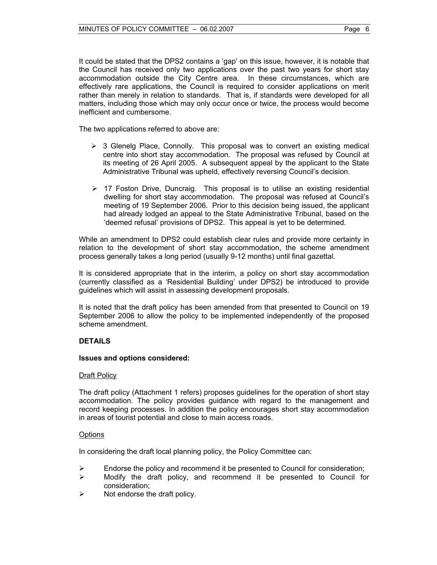It could be stated that the DPS2 contains a 'gap' on this issue, however, it is notable that the Council has received only two applications over the past two years for short stay accommodation outside the City Centre area. In these circumstances, which are effectively rare applications, the Council is required to consider applications on merit rather than merely in relation to standards. That is, if standards were developed for all matters, including those which may only occur once or twice, the process would become inefficient and cumbersome.

The two applications referred to above are:

- $\triangleright$  3 Glenelg Place, Connolly. This proposal was to convert an existing medical centre into short stay accommodation. The proposal was refused by Council at its meeting of 26 April 2005. A subsequent appeal by the applicant to the State Administrative Tribunal was upheld, effectively reversing Council's decision.
- $\triangleright$  17 Foston Drive, Duncraig. This proposal is to utilise an existing residential dwelling for short stay accommodation. The proposal was refused at Council's meeting of 19 September 2006. Prior to this decision being issued, the applicant had already lodged an appeal to the State Administrative Tribunal, based on the 'deemed refusal' provisions of DPS2. This appeal is yet to be determined.

While an amendment to DPS2 could establish clear rules and provide more certainty in relation to the development of short stay accommodation, the scheme amendment process generally takes a long period (usually 9-12 months) until final gazettal.

It is considered appropriate that in the interim, a policy on short stay accommodation (currently classified as a 'Residential Building' under DPS2) be introduced to provide guidelines which will assist in assessing development proposals.

It is noted that the draft policy has been amended from that presented to Council on 19 September 2006 to allow the policy to be implemented independently of the proposed scheme amendment.

# **DETAILS**

#### **Issues and options considered:**

#### **Draft Policy**

The draft policy (Attachment 1 refers) proposes guidelines for the operation of short stay accommodation. The policy provides guidance with regard to the management and record keeping processes. In addition the policy encourages short stay accommodation in areas of tourist potential and close to main access roads.

#### **Options**

In considering the draft local planning policy, the Policy Committee can:

- $\triangleright$  Endorse the policy and recommend it be presented to Council for consideration;
- $\triangleright$  Modify the draft policy, and recommend it be presented to Council for consideration;
- $\triangleright$  Not endorse the draft policy.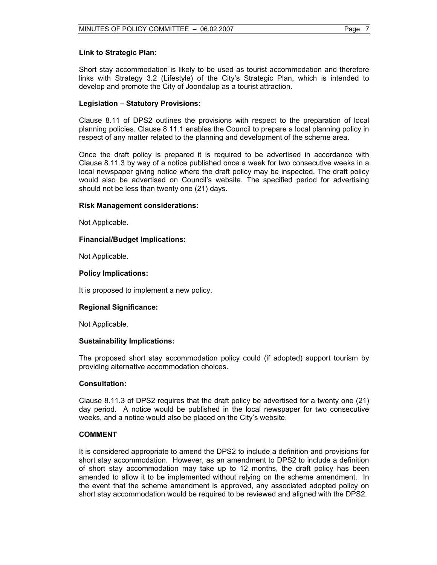#### **Link to Strategic Plan:**

Short stay accommodation is likely to be used as tourist accommodation and therefore links with Strategy 3.2 (Lifestyle) of the City's Strategic Plan, which is intended to develop and promote the City of Joondalup as a tourist attraction.

# **Legislation – Statutory Provisions:**

Clause 8.11 of DPS2 outlines the provisions with respect to the preparation of local planning policies. Clause 8.11.1 enables the Council to prepare a local planning policy in respect of any matter related to the planning and development of the scheme area.

Once the draft policy is prepared it is required to be advertised in accordance with Clause 8.11.3 by way of a notice published once a week for two consecutive weeks in a local newspaper giving notice where the draft policy may be inspected. The draft policy would also be advertised on Council's website. The specified period for advertising should not be less than twenty one (21) days.

## **Risk Management considerations:**

Not Applicable.

# **Financial/Budget Implications:**

Not Applicable.

## **Policy Implications:**

It is proposed to implement a new policy.

#### **Regional Significance:**

Not Applicable.

#### **Sustainability Implications:**

The proposed short stay accommodation policy could (if adopted) support tourism by providing alternative accommodation choices.

#### **Consultation:**

Clause 8.11.3 of DPS2 requires that the draft policy be advertised for a twenty one (21) day period. A notice would be published in the local newspaper for two consecutive weeks, and a notice would also be placed on the City's website.

# **COMMENT**

It is considered appropriate to amend the DPS2 to include a definition and provisions for short stay accommodation. However, as an amendment to DPS2 to include a definition of short stay accommodation may take up to 12 months, the draft policy has been amended to allow it to be implemented without relying on the scheme amendment. In the event that the scheme amendment is approved, any associated adopted policy on short stay accommodation would be required to be reviewed and aligned with the DPS2.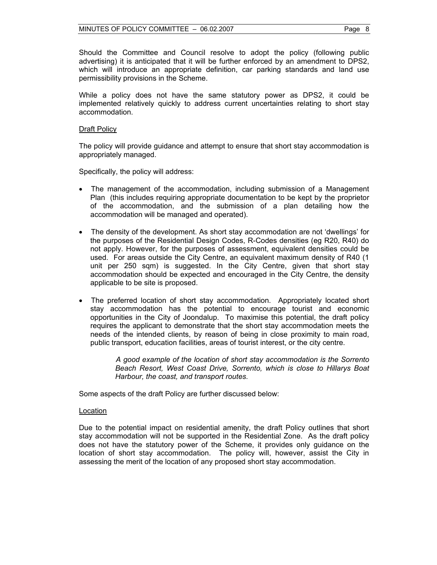Should the Committee and Council resolve to adopt the policy (following public advertising) it is anticipated that it will be further enforced by an amendment to DPS2, which will introduce an appropriate definition, car parking standards and land use permissibility provisions in the Scheme.

While a policy does not have the same statutory power as DPS2, it could be implemented relatively quickly to address current uncertainties relating to short stay accommodation.

#### Draft Policy

The policy will provide guidance and attempt to ensure that short stay accommodation is appropriately managed.

Specifically, the policy will address:

- The management of the accommodation, including submission of a Management Plan (this includes requiring appropriate documentation to be kept by the proprietor of the accommodation, and the submission of a plan detailing how the accommodation will be managed and operated).
- The density of the development. As short stay accommodation are not 'dwellings' for the purposes of the Residential Design Codes, R-Codes densities (eg R20, R40) do not apply. However, for the purposes of assessment, equivalent densities could be used. For areas outside the City Centre, an equivalent maximum density of R40 (1 unit per 250 sqm) is suggested. In the City Centre, given that short stay accommodation should be expected and encouraged in the City Centre, the density applicable to be site is proposed.
- The preferred location of short stay accommodation. Appropriately located short stay accommodation has the potential to encourage tourist and economic opportunities in the City of Joondalup. To maximise this potential, the draft policy requires the applicant to demonstrate that the short stay accommodation meets the needs of the intended clients, by reason of being in close proximity to main road, public transport, education facilities, areas of tourist interest, or the city centre.

*A good example of the location of short stay accommodation is the Sorrento Beach Resort, West Coast Drive, Sorrento, which is close to Hillarys Boat Harbour, the coast, and transport routes.* 

Some aspects of the draft Policy are further discussed below:

#### Location

Due to the potential impact on residential amenity, the draft Policy outlines that short stay accommodation will not be supported in the Residential Zone. As the draft policy does not have the statutory power of the Scheme, it provides only guidance on the location of short stay accommodation. The policy will, however, assist the City in assessing the merit of the location of any proposed short stay accommodation.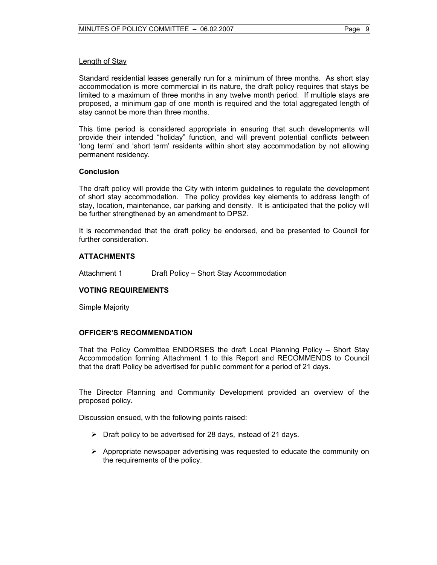Standard residential leases generally run for a minimum of three months. As short stay accommodation is more commercial in its nature, the draft policy requires that stays be limited to a maximum of three months in any twelve month period. If multiple stays are proposed, a minimum gap of one month is required and the total aggregated length of stay cannot be more than three months.

This time period is considered appropriate in ensuring that such developments will provide their intended "holiday" function, and will prevent potential conflicts between 'long term' and 'short term' residents within short stay accommodation by not allowing permanent residency.

## **Conclusion**

The draft policy will provide the City with interim guidelines to regulate the development of short stay accommodation. The policy provides key elements to address length of stay, location, maintenance, car parking and density. It is anticipated that the policy will be further strengthened by an amendment to DPS2.

It is recommended that the draft policy be endorsed, and be presented to Council for further consideration.

## **ATTACHMENTS**

Attachment 1 Draft Policy – Short Stay Accommodation

# **VOTING REQUIREMENTS**

Simple Majority

#### **OFFICER'S RECOMMENDATION**

That the Policy Committee ENDORSES the draft Local Planning Policy – Short Stay Accommodation forming Attachment 1 to this Report and RECOMMENDS to Council that the draft Policy be advertised for public comment for a period of 21 days.

The Director Planning and Community Development provided an overview of the proposed policy.

Discussion ensued, with the following points raised:

- $\triangleright$  Draft policy to be advertised for 28 days, instead of 21 days.
- $\triangleright$  Appropriate newspaper advertising was requested to educate the community on the requirements of the policy.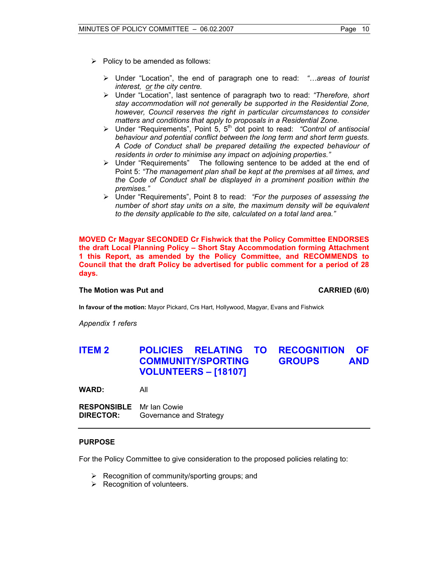- $\triangleright$  Policy to be amended as follows:
	- ¾ Under "Location", the end of paragraph one to read: *"…areas of tourist interest, or the city centre.*
	- ¾ Under "Location", last sentence of paragraph two to read: *"Therefore, short stay accommodation will not generally be supported in the Residential Zone, however, Council reserves the right in particular circumstances to consider matters and conditions that apply to proposals in a Residential Zone.*
	- ¾ Under "Requirements", Point 5, 5th dot point to read: *"Control of antisocial behaviour and potential conflict between the long term and short term guests. A Code of Conduct shall be prepared detailing the expected behaviour of residents in order to minimise any impact on adjoining properties."*
	- ¾ Under "Requirements" The following sentence to be added at the end of Point 5: *"The management plan shall be kept at the premises at all times, and the Code of Conduct shall be displayed in a prominent position within the premises."*
	- ¾ Under "Requirements", Point 8 to read: *"For the purposes of assessing the number of short stay units on a site, the maximum density will be equivalent to the density applicable to the site, calculated on a total land area."*

**MOVED Cr Magyar SECONDED Cr Fishwick that the Policy Committee ENDORSES the draft Local Planning Policy – Short Stay Accommodation forming Attachment 1 this Report, as amended by the Policy Committee, and RECOMMENDS to Council that the draft Policy be advertised for public comment for a period of 28 days.**

# **The Motion was Put and CARRIED (6/0) CARRIED (6/0)**

**In favour of the motion:** Mayor Pickard, Crs Hart, Hollywood, Magyar, Evans and Fishwick

*Appendix 1 refers* 

# **ITEM 2 POLICIES RELATING TO RECOGNITION OF COMMUNITY/SPORTING GROUPS AND VOLUNTEERS – [18107]**

**WARD:** All

**RESPONSIBLE** Mr Ian Cowie **DIRECTOR:** Governance and Strategy

# **PURPOSE**

For the Policy Committee to give consideration to the proposed policies relating to:

- $\triangleright$  Recognition of community/sporting groups; and
- $\triangleright$  Recognition of volunteers.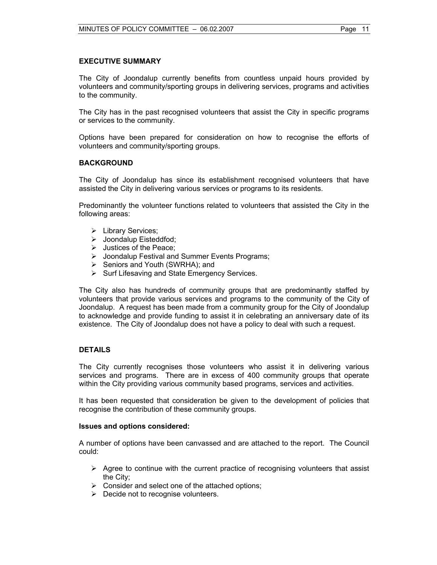# **EXECUTIVE SUMMARY**

The City of Joondalup currently benefits from countless unpaid hours provided by volunteers and community/sporting groups in delivering services, programs and activities to the community.

The City has in the past recognised volunteers that assist the City in specific programs or services to the community.

Options have been prepared for consideration on how to recognise the efforts of volunteers and community/sporting groups.

## **BACKGROUND**

The City of Joondalup has since its establishment recognised volunteers that have assisted the City in delivering various services or programs to its residents.

Predominantly the volunteer functions related to volunteers that assisted the City in the following areas:

- ¾ Library Services;
- ¾ Joondalup Eisteddfod;
- $\triangleright$  Justices of the Peace;
- ¾ Joondalup Festival and Summer Events Programs;
- ¾ Seniors and Youth (SWRHA); and
- ¾ Surf Lifesaving and State Emergency Services.

The City also has hundreds of community groups that are predominantly staffed by volunteers that provide various services and programs to the community of the City of Joondalup. A request has been made from a community group for the City of Joondalup to acknowledge and provide funding to assist it in celebrating an anniversary date of its existence. The City of Joondalup does not have a policy to deal with such a request.

## **DETAILS**

The City currently recognises those volunteers who assist it in delivering various services and programs. There are in excess of 400 community groups that operate within the City providing various community based programs, services and activities.

It has been requested that consideration be given to the development of policies that recognise the contribution of these community groups.

#### **Issues and options considered:**

A number of options have been canvassed and are attached to the report. The Council could:

- $\triangleright$  Agree to continue with the current practice of recognising volunteers that assist the City;
- $\triangleright$  Consider and select one of the attached options;
- $\triangleright$  Decide not to recognise volunteers.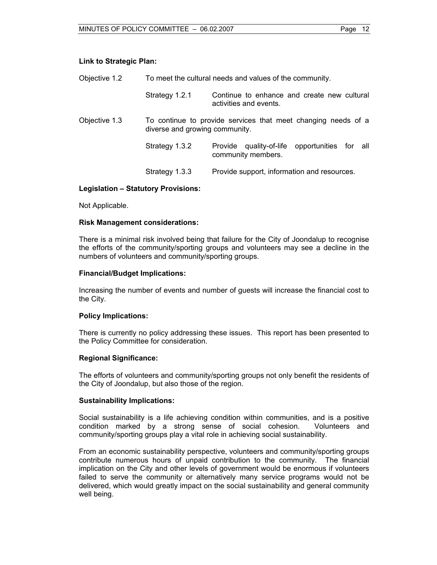# **Link to Strategic Plan:**

| Objective 1.2 | To meet the cultural needs and values of the community. |                                                                       |  |
|---------------|---------------------------------------------------------|-----------------------------------------------------------------------|--|
|               | Strategy 1.2.1                                          | Continue to enhance and create new cultural<br>activities and events. |  |
| Objective 1.3 | diverse and growing community.                          | To continue to provide services that meet changing needs of a         |  |
|               | Strategy 1.3.2                                          | Provide quality-of-life opportunities for all<br>community members.   |  |
|               | Strategy 1.3.3                                          | Provide support, information and resources.                           |  |

## **Legislation – Statutory Provisions:**

Not Applicable.

#### **Risk Management considerations:**

There is a minimal risk involved being that failure for the City of Joondalup to recognise the efforts of the community/sporting groups and volunteers may see a decline in the numbers of volunteers and community/sporting groups.

#### **Financial/Budget Implications:**

Increasing the number of events and number of guests will increase the financial cost to the City.

#### **Policy Implications:**

There is currently no policy addressing these issues. This report has been presented to the Policy Committee for consideration.

#### **Regional Significance:**

The efforts of volunteers and community/sporting groups not only benefit the residents of the City of Joondalup, but also those of the region.

#### **Sustainability Implications:**

Social sustainability is a life achieving condition within communities, and is a positive condition marked by a strong sense of social cohesion. Volunteers and community/sporting groups play a vital role in achieving social sustainability.

From an economic sustainability perspective, volunteers and community/sporting groups contribute numerous hours of unpaid contribution to the community. The financial implication on the City and other levels of government would be enormous if volunteers failed to serve the community or alternatively many service programs would not be delivered, which would greatly impact on the social sustainability and general community well being.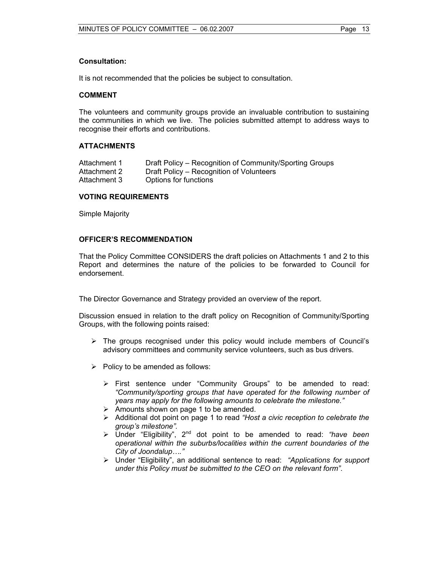# **Consultation:**

It is not recommended that the policies be subject to consultation.

#### **COMMENT**

The volunteers and community groups provide an invaluable contribution to sustaining the communities in which we live. The policies submitted attempt to address ways to recognise their efforts and contributions.

## **ATTACHMENTS**

| Attachment 1 | Draft Policy – Recognition of Community/Sporting Groups |
|--------------|---------------------------------------------------------|
| Attachment 2 | Draft Policy – Recognition of Volunteers                |
| Attachment 3 | Options for functions                                   |

## **VOTING REQUIREMENTS**

Simple Majority

## **OFFICER'S RECOMMENDATION**

That the Policy Committee CONSIDERS the draft policies on Attachments 1 and 2 to this Report and determines the nature of the policies to be forwarded to Council for endorsement.

The Director Governance and Strategy provided an overview of the report.

Discussion ensued in relation to the draft policy on Recognition of Community/Sporting Groups, with the following points raised:

- $\triangleright$  The groups recognised under this policy would include members of Council's advisory committees and community service volunteers, such as bus drivers.
- $\triangleright$  Policy to be amended as follows:
	- ¾ First sentence under "Community Groups" to be amended to read: *"Community/sporting groups that have operated for the following number of years may apply for the following amounts to celebrate the milestone."*
	- $\triangleright$  Amounts shown on page 1 to be amended.
	- ¾ Additional dot point on page 1 to read *"Host a civic reception to celebrate the group's milestone".*
	- ¾ Under "Eligibility", 2nd dot point to be amended to read: *"have been operational within the suburbs/localities within the current boundaries of the City of Joondalup…."*
	- ¾ Under "Eligibility", an additional sentence to read: *"Applications for support under this Policy must be submitted to the CEO on the relevant form"*.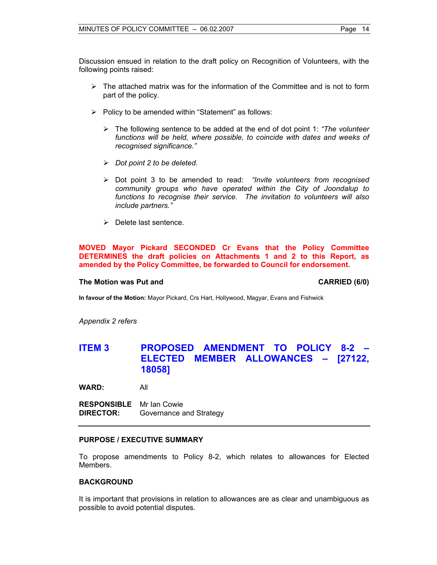Discussion ensued in relation to the draft policy on Recognition of Volunteers, with the following points raised:

- $\triangleright$  The attached matrix was for the information of the Committee and is not to form part of the policy.
- $\triangleright$  Policy to be amended within "Statement" as follows:
	- ¾ The following sentence to be added at the end of dot point 1: *"The volunteer*  functions will be held, where possible, to coincide with dates and weeks of *recognised significance."*
	- ¾ *Dot point 2 to be deleted.*
	- ¾ Dot point 3 to be amended to read: *"Invite volunteers from recognised community groups who have operated within the City of Joondalup to functions to recognise their service. The invitation to volunteers will also include partners."*
	- $\triangleright$  Delete last sentence.

**MOVED Mayor Pickard SECONDED Cr Evans that the Policy Committee DETERMINES the draft policies on Attachments 1 and 2 to this Report, as amended by the Policy Committee, be forwarded to Council for endorsement.**

#### **The Motion was Put and CARRIED (6/0) CARRIED (6/0)**

**In favour of the Motion:** Mayor Pickard, Crs Hart, Hollywood, Magyar, Evans and Fishwick

*Appendix 2 refers* 

# **ITEM 3 PROPOSED AMENDMENT TO POLICY 8-2 – ELECTED MEMBER ALLOWANCES – [27122, 18058]**

**WARD:** All

**RESPONSIBLE** Mr Ian Cowie **DIRECTOR:** Governance and Strategy

#### **PURPOSE / EXECUTIVE SUMMARY**

To propose amendments to Policy 8-2, which relates to allowances for Elected Members.

#### **BACKGROUND**

It is important that provisions in relation to allowances are as clear and unambiguous as possible to avoid potential disputes.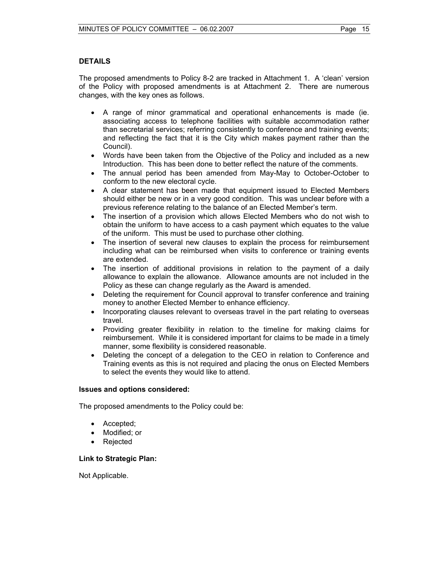# **DETAILS**

The proposed amendments to Policy 8-2 are tracked in Attachment 1. A 'clean' version of the Policy with proposed amendments is at Attachment 2. There are numerous changes, with the key ones as follows.

- A range of minor grammatical and operational enhancements is made (ie. associating access to telephone facilities with suitable accommodation rather than secretarial services; referring consistently to conference and training events; and reflecting the fact that it is the City which makes payment rather than the Council).
- Words have been taken from the Objective of the Policy and included as a new Introduction. This has been done to better reflect the nature of the comments.
- The annual period has been amended from May-May to October-October to conform to the new electoral cycle.
- A clear statement has been made that equipment issued to Elected Members should either be new or in a very good condition. This was unclear before with a previous reference relating to the balance of an Elected Member's term.
- The insertion of a provision which allows Elected Members who do not wish to obtain the uniform to have access to a cash payment which equates to the value of the uniform. This must be used to purchase other clothing.
- The insertion of several new clauses to explain the process for reimbursement including what can be reimbursed when visits to conference or training events are extended.
- The insertion of additional provisions in relation to the payment of a daily allowance to explain the allowance. Allowance amounts are not included in the Policy as these can change regularly as the Award is amended.
- Deleting the requirement for Council approval to transfer conference and training money to another Elected Member to enhance efficiency.
- Incorporating clauses relevant to overseas travel in the part relating to overseas travel.
- Providing greater flexibility in relation to the timeline for making claims for reimbursement. While it is considered important for claims to be made in a timely manner, some flexibility is considered reasonable.
- Deleting the concept of a delegation to the CEO in relation to Conference and Training events as this is not required and placing the onus on Elected Members to select the events they would like to attend.

# **Issues and options considered:**

The proposed amendments to the Policy could be:

- Accepted;
- Modified; or
- Rejected

# **Link to Strategic Plan:**

Not Applicable.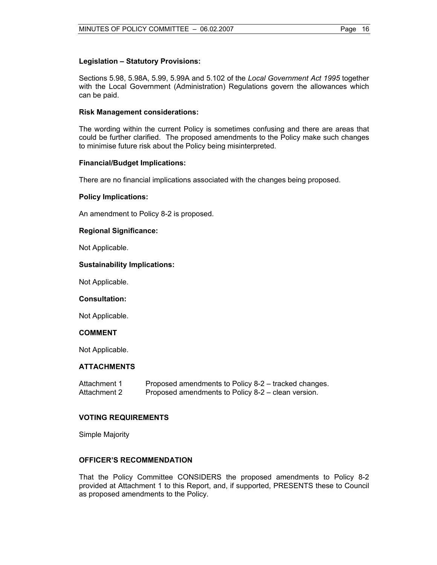# **Legislation – Statutory Provisions:**

Sections 5.98, 5.98A, 5.99, 5.99A and 5.102 of the *Local Government Act 1995* together with the Local Government (Administration) Regulations govern the allowances which can be paid.

## **Risk Management considerations:**

The wording within the current Policy is sometimes confusing and there are areas that could be further clarified. The proposed amendments to the Policy make such changes to minimise future risk about the Policy being misinterpreted.

## **Financial/Budget Implications:**

There are no financial implications associated with the changes being proposed.

## **Policy Implications:**

An amendment to Policy 8-2 is proposed.

## **Regional Significance:**

Not Applicable.

## **Sustainability Implications:**

Not Applicable.

#### **Consultation:**

Not Applicable.

#### **COMMENT**

Not Applicable.

#### **ATTACHMENTS**

Attachment 1 Proposed amendments to Policy 8-2 – tracked changes. Attachment 2 Proposed amendments to Policy 8-2 – clean version.

#### **VOTING REQUIREMENTS**

Simple Majority

#### **OFFICER'S RECOMMENDATION**

That the Policy Committee CONSIDERS the proposed amendments to Policy 8-2 provided at Attachment 1 to this Report, and, if supported, PRESENTS these to Council as proposed amendments to the Policy.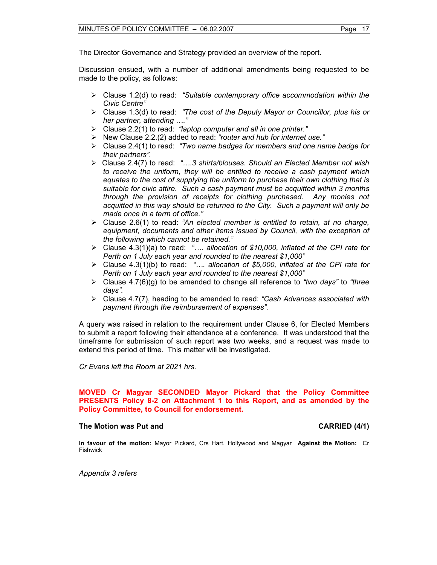The Director Governance and Strategy provided an overview of the report.

Discussion ensued, with a number of additional amendments being requested to be made to the policy, as follows:

- ¾ Clause 1.2(d) to read: *"Suitable contemporary office accommodation within the Civic Centre"*
- ¾ Clause 1.3(d) to read: *"The cost of the Deputy Mayor or Councillor, plus his or her partner, attending …."*
- ¾ Clause 2.2(1) to read: *"laptop computer and all in one printer."*
- ¾ New Clause 2.2.(2) added to read: *"router and hub for internet use."*
- ¾ Clause 2.4(1) to read: *"Two name badges for members and one name badge for their partners".*
- ¾ Clause 2.4(7) to read: *"….3 shirts/blouses. Should an Elected Member not wish to receive the uniform, they will be entitled to receive a cash payment which equates to the cost of supplying the uniform to purchase their own clothing that is suitable for civic attire. Such a cash payment must be acquitted within 3 months through the provision of receipts for clothing purchased. Any monies not acquitted in this way should be returned to the City. Such a payment will only be made once in a term of office."*
- ¾ Clause 2.6(1) to read: *"An elected member is entitled to retain, at no charge,*  equipment, documents and other items issued by Council, with the exception of *the following which cannot be retained."*
- ¾ Clause 4.3(1)(a) to read: *"…. allocation of \$10,000, inflated at the CPI rate for Perth on 1 July each year and rounded to the nearest \$1,000"*
- ¾ Clause 4.3(1)(b) to read: *"…. allocation of \$5,000, inflated at the CPI rate for Perth on 1 July each year and rounded to the nearest \$1,000"*
- ¾ Clause 4.7(6)(g) to be amended to change all reference to *"two days"* to *"three days".*
- ¾ Clause 4.7(7), heading to be amended to read: *"Cash Advances associated with payment through the reimbursement of expenses".*

A query was raised in relation to the requirement under Clause 6, for Elected Members to submit a report following their attendance at a conference. It was understood that the timeframe for submission of such report was two weeks, and a request was made to extend this period of time. This matter will be investigated.

*Cr Evans left the Room at 2021 hrs.* 

#### **MOVED Cr Magyar SECONDED Mayor Pickard that the Policy Committee PRESENTS Policy 8-2 on Attachment 1 to this Report, and as amended by the Policy Committee, to Council for endorsement.**

#### **The Motion was Put and CARRIED (4/1) CARRIED (4/1)**

**In favour of the motion:** Mayor Pickard, Crs Hart, Hollywood and Magyar **Against the Motion:** Cr Fishwick

*Appendix 3 refers*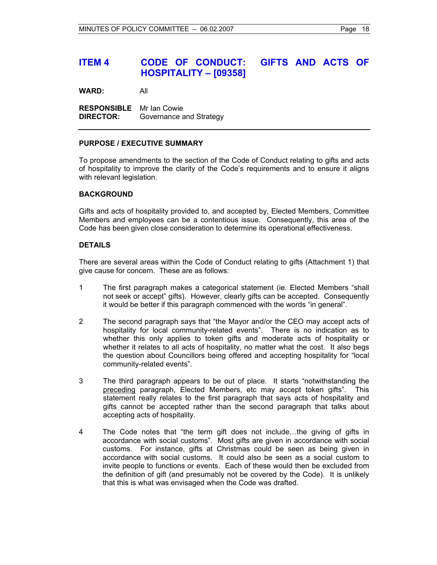# **ITEM 4 CODE OF CONDUCT: GIFTS AND ACTS OF HOSPITALITY – [09358]**

**WARD:** All

**RESPONSIBLE** Mr Ian Cowie **DIRECTOR:** Governance and Strategy

#### **PURPOSE / EXECUTIVE SUMMARY**

To propose amendments to the section of the Code of Conduct relating to gifts and acts of hospitality to improve the clarity of the Code's requirements and to ensure it aligns with relevant legislation.

## **BACKGROUND**

Gifts and acts of hospitality provided to, and accepted by, Elected Members, Committee Members and employees can be a contentious issue. Consequently, this area of the Code has been given close consideration to determine its operational effectiveness.

## **DETAILS**

There are several areas within the Code of Conduct relating to gifts (Attachment 1) that give cause for concern. These are as follows:

- 1 The first paragraph makes a categorical statement (ie. Elected Members "shall not seek or accept" gifts). However, clearly gifts can be accepted. Consequently it would be better if this paragraph commenced with the words "in general".
- 2 The second paragraph says that "the Mayor and/or the CEO may accept acts of hospitality for local community-related events". There is no indication as to whether this only applies to token gifts and moderate acts of hospitality or whether it relates to all acts of hospitality, no matter what the cost. It also begs the question about Councillors being offered and accepting hospitality for "local community-related events".
- 3 The third paragraph appears to be out of place. It starts "notwithstanding the preceding paragraph, Elected Members, etc may accept token gifts". This statement really relates to the first paragraph that says acts of hospitality and gifts cannot be accepted rather than the second paragraph that talks about accepting acts of hospitality.
- 4 The Code notes that "the term gift does not include…the giving of gifts in accordance with social customs". Most gifts are given in accordance with social customs. For instance, gifts at Christmas could be seen as being given in accordance with social customs. It could also be seen as a social custom to invite people to functions or events. Each of these would then be excluded from the definition of gift (and presumably not be covered by the Code). It is unlikely that this is what was envisaged when the Code was drafted.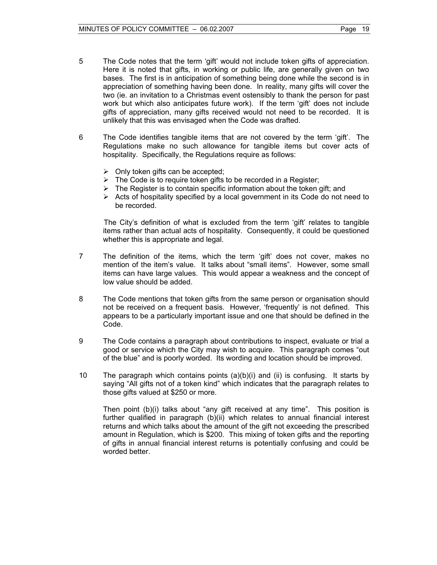- 5 The Code notes that the term 'gift' would not include token gifts of appreciation. Here it is noted that gifts, in working or public life, are generally given on two bases. The first is in anticipation of something being done while the second is in appreciation of something having been done. In reality, many gifts will cover the two (ie. an invitation to a Christmas event ostensibly to thank the person for past work but which also anticipates future work). If the term 'gift' does not include gifts of appreciation, many gifts received would not need to be recorded. It is unlikely that this was envisaged when the Code was drafted.
- 6 The Code identifies tangible items that are not covered by the term 'gift'. The Regulations make no such allowance for tangible items but cover acts of hospitality. Specifically, the Regulations require as follows:
	- $\triangleright$  Only token gifts can be accepted;
	- $\triangleright$  The Code is to require token gifts to be recorded in a Register;
	- $\triangleright$  The Register is to contain specific information about the token gift; and
	- $\triangleright$  Acts of hospitality specified by a local government in its Code do not need to be recorded.

The City's definition of what is excluded from the term 'gift' relates to tangible items rather than actual acts of hospitality. Consequently, it could be questioned whether this is appropriate and legal.

- 7 The definition of the items, which the term 'gift' does not cover, makes no mention of the item's value. It talks about "small items". However, some small items can have large values. This would appear a weakness and the concept of low value should be added.
- 8 The Code mentions that token gifts from the same person or organisation should not be received on a frequent basis. However, 'frequently' is not defined. This appears to be a particularly important issue and one that should be defined in the Code.
- 9 The Code contains a paragraph about contributions to inspect, evaluate or trial a good or service which the City may wish to acquire. This paragraph comes "out of the blue" and is poorly worded. Its wording and location should be improved.
- 10 The paragraph which contains points (a)(b)(i) and (ii) is confusing. It starts by saying "All gifts not of a token kind" which indicates that the paragraph relates to those gifts valued at \$250 or more.

 Then point (b)(i) talks about "any gift received at any time". This position is further qualified in paragraph (b)(ii) which relates to annual financial interest returns and which talks about the amount of the gift not exceeding the prescribed amount in Regulation, which is \$200. This mixing of token gifts and the reporting of gifts in annual financial interest returns is potentially confusing and could be worded better.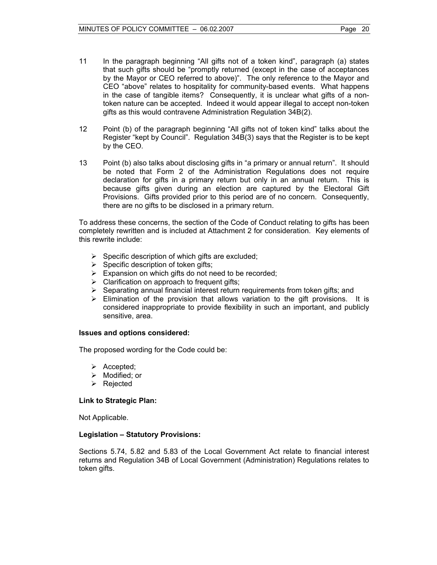- 11 In the paragraph beginning "All gifts not of a token kind", paragraph (a) states that such gifts should be "promptly returned (except in the case of acceptances by the Mayor or CEO referred to above)". The only reference to the Mayor and CEO "above" relates to hospitality for community-based events. What happens in the case of tangible items? Consequently, it is unclear what gifts of a nontoken nature can be accepted. Indeed it would appear illegal to accept non-token gifts as this would contravene Administration Regulation 34B(2).
- 12 Point (b) of the paragraph beginning "All gifts not of token kind" talks about the Register "kept by Council". Regulation 34B(3) says that the Register is to be kept by the CEO.
- 13 Point (b) also talks about disclosing gifts in "a primary or annual return". It should be noted that Form 2 of the Administration Regulations does not require declaration for gifts in a primary return but only in an annual return. This is because gifts given during an election are captured by the Electoral Gift Provisions. Gifts provided prior to this period are of no concern. Consequently, there are no gifts to be disclosed in a primary return.

To address these concerns, the section of the Code of Conduct relating to gifts has been completely rewritten and is included at Attachment 2 for consideration. Key elements of this rewrite include:

- $\triangleright$  Specific description of which gifts are excluded;
- $\triangleright$  Specific description of token gifts;
- $\triangleright$  Expansion on which gifts do not need to be recorded;
- $\triangleright$  Clarification on approach to frequent gifts;
- ¾ Separating annual financial interest return requirements from token gifts; and
- $\triangleright$  Elimination of the provision that allows variation to the gift provisions. It is considered inappropriate to provide flexibility in such an important, and publicly sensitive, area.

#### **Issues and options considered:**

The proposed wording for the Code could be:

- $\triangleright$  Accepted;
- $\triangleright$  Modified; or
- ¾ Rejected

#### **Link to Strategic Plan:**

Not Applicable.

#### **Legislation – Statutory Provisions:**

Sections 5.74, 5.82 and 5.83 of the Local Government Act relate to financial interest returns and Regulation 34B of Local Government (Administration) Regulations relates to token gifts.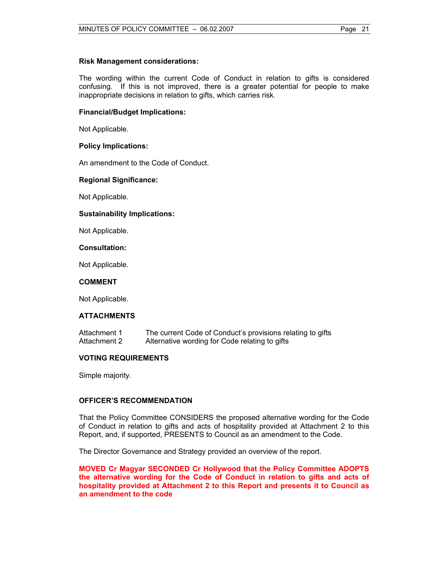#### **Risk Management considerations:**

The wording within the current Code of Conduct in relation to gifts is considered confusing. If this is not improved, there is a greater potential for people to make inappropriate decisions in relation to gifts, which carries risk.

## **Financial/Budget Implications:**

Not Applicable.

## **Policy Implications:**

An amendment to the Code of Conduct.

## **Regional Significance:**

Not Applicable.

## **Sustainability Implications:**

Not Applicable.

#### **Consultation:**

Not Applicable.

#### **COMMENT**

Not Applicable.

# **ATTACHMENTS**

Attachment 1 The current Code of Conduct's provisions relating to gifts Attachment 2 Alternative wording for Code relating to gifts

# **VOTING REQUIREMENTS**

Simple majority.

# **OFFICER'S RECOMMENDATION**

That the Policy Committee CONSIDERS the proposed alternative wording for the Code of Conduct in relation to gifts and acts of hospitality provided at Attachment 2 to this Report, and, if supported, PRESENTS to Council as an amendment to the Code.

The Director Governance and Strategy provided an overview of the report.

**MOVED Cr Magyar SECONDED Cr Hollywood that the Policy Committee ADOPTS the alternative wording for the Code of Conduct in relation to gifts and acts of hospitality provided at Attachment 2 to this Report and presents it to Council as an amendment to the code**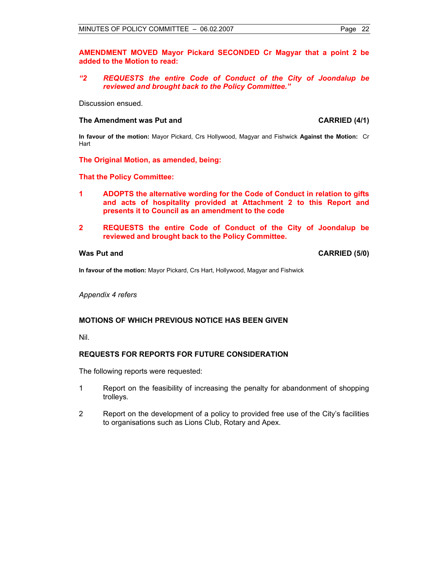#### **AMENDMENT MOVED Mayor Pickard SECONDED Cr Magyar that a point 2 be added to the Motion to read:**

#### *"2 REQUESTS the entire Code of Conduct of the City of Joondalup be reviewed and brought back to the Policy Committee."*

Discussion ensued.

#### The Amendment was Put and **CARRIED** (4/1)

**In favour of the motion:** Mayor Pickard, Crs Hollywood, Magyar and Fishwick **Against the Motion:** Cr **Hart** 

#### **The Original Motion, as amended, being:**

#### **That the Policy Committee:**

- **1 ADOPTS the alternative wording for the Code of Conduct in relation to gifts and acts of hospitality provided at Attachment 2 to this Report and presents it to Council as an amendment to the code**
- **2 REQUESTS the entire Code of Conduct of the City of Joondalup be reviewed and brought back to the Policy Committee.**

Was Put and **CARRIED** (5/0)

**In favour of the motion:** Mayor Pickard, Crs Hart, Hollywood, Magyar and Fishwick

*Appendix 4 refers* 

#### **MOTIONS OF WHICH PREVIOUS NOTICE HAS BEEN GIVEN**

Nil.

#### **REQUESTS FOR REPORTS FOR FUTURE CONSIDERATION**

The following reports were requested:

- 1 Report on the feasibility of increasing the penalty for abandonment of shopping trolleys.
- 2 Report on the development of a policy to provided free use of the City's facilities to organisations such as Lions Club, Rotary and Apex.